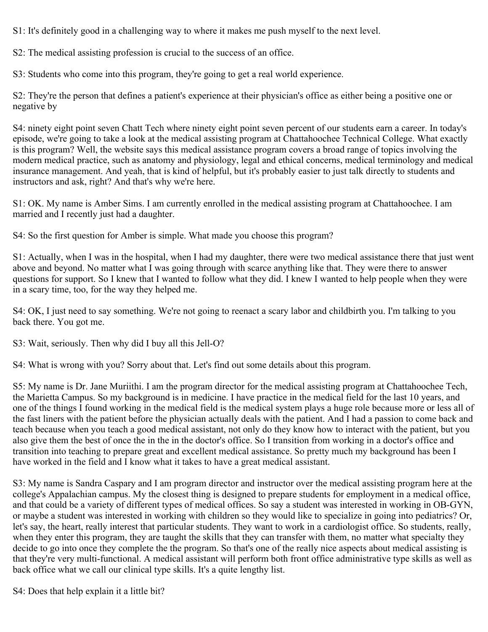S1: It's definitely good in a challenging way to where it makes me push myself to the next level.

S2: The medical assisting profession is crucial to the success of an office.

S3: Students who come into this program, they're going to get a real world experience.

S2: They're the person that defines a patient's experience at their physician's office as either being a positive one or negative by

S4: ninety eight point seven Chatt Tech where ninety eight point seven percent of our students earn a career. In today's episode, we're going to take a look at the medical assisting program at Chattahoochee Technical College. What exactly is this program? Well, the website says this medical assistance program covers a broad range of topics involving the modern medical practice, such as anatomy and physiology, legal and ethical concerns, medical terminology and medical insurance management. And yeah, that is kind of helpful, but it's probably easier to just talk directly to students and instructors and ask, right? And that's why we're here.

S1: OK. My name is Amber Sims. I am currently enrolled in the medical assisting program at Chattahoochee. I am married and I recently just had a daughter.

S4: So the first question for Amber is simple. What made you choose this program?

S1: Actually, when I was in the hospital, when I had my daughter, there were two medical assistance there that just went above and beyond. No matter what I was going through with scarce anything like that. They were there to answer questions for support. So I knew that I wanted to follow what they did. I knew I wanted to help people when they were in a scary time, too, for the way they helped me.

S4: OK, I just need to say something. We're not going to reenact a scary labor and childbirth you. I'm talking to you back there. You got me.

S3: Wait, seriously. Then why did I buy all this Jell-O?

S4: What is wrong with you? Sorry about that. Let's find out some details about this program.

S5: My name is Dr. Jane Muriithi. I am the program director for the medical assisting program at Chattahoochee Tech, the Marietta Campus. So my background is in medicine. I have practice in the medical field for the last 10 years, and one of the things I found working in the medical field is the medical system plays a huge role because more or less all of the fast liners with the patient before the physician actually deals with the patient. And I had a passion to come back and teach because when you teach a good medical assistant, not only do they know how to interact with the patient, but you also give them the best of once the in the in the doctor's office. So I transition from working in a doctor's office and transition into teaching to prepare great and excellent medical assistance. So pretty much my background has been I have worked in the field and I know what it takes to have a great medical assistant.

S3: My name is Sandra Caspary and I am program director and instructor over the medical assisting program here at the college's Appalachian campus. My the closest thing is designed to prepare students for employment in a medical office, and that could be a variety of different types of medical offices. So say a student was interested in working in OB-GYN, or maybe a student was interested in working with children so they would like to specialize in going into pediatrics? Or, let's say, the heart, really interest that particular students. They want to work in a cardiologist office. So students, really, when they enter this program, they are taught the skills that they can transfer with them, no matter what specialty they decide to go into once they complete the the program. So that's one of the really nice aspects about medical assisting is that they're very multi-functional. A medical assistant will perform both front office administrative type skills as well as back office what we call our clinical type skills. It's a quite lengthy list.

S4: Does that help explain it a little bit?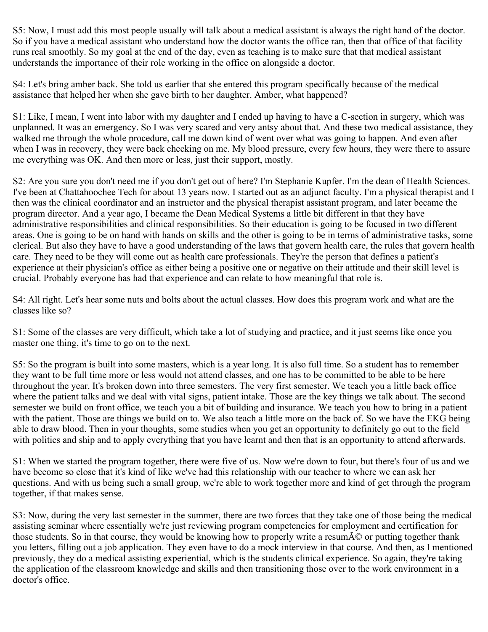S5: Now, I must add this most people usually will talk about a medical assistant is always the right hand of the doctor. So if you have a medical assistant who understand how the doctor wants the office ran, then that office of that facility runs real smoothly. So my goal at the end of the day, even as teaching is to make sure that that medical assistant understands the importance of their role working in the office on alongside a doctor.

S4: Let's bring amber back. She told us earlier that she entered this program specifically because of the medical assistance that helped her when she gave birth to her daughter. Amber, what happened?

S1: Like, I mean, I went into labor with my daughter and I ended up having to have a C-section in surgery, which was unplanned. It was an emergency. So I was very scared and very antsy about that. And these two medical assistance, they walked me through the whole procedure, call me down kind of went over what was going to happen. And even after when I was in recovery, they were back checking on me. My blood pressure, every few hours, they were there to assure me everything was OK. And then more or less, just their support, mostly.

S2: Are you sure you don't need me if you don't get out of here? I'm Stephanie Kupfer. I'm the dean of Health Sciences. I've been at Chattahoochee Tech for about 13 years now. I started out as an adjunct faculty. I'm a physical therapist and I then was the clinical coordinator and an instructor and the physical therapist assistant program, and later became the program director. And a year ago, I became the Dean Medical Systems a little bit different in that they have administrative responsibilities and clinical responsibilities. So their education is going to be focused in two different areas. One is going to be on hand with hands on skills and the other is going to be in terms of administrative tasks, some clerical. But also they have to have a good understanding of the laws that govern health care, the rules that govern health care. They need to be they will come out as health care professionals. They're the person that defines a patient's experience at their physician's office as either being a positive one or negative on their attitude and their skill level is crucial. Probably everyone has had that experience and can relate to how meaningful that role is.

S4: All right. Let's hear some nuts and bolts about the actual classes. How does this program work and what are the classes like so?

S1: Some of the classes are very difficult, which take a lot of studying and practice, and it just seems like once you master one thing, it's time to go on to the next.

S5: So the program is built into some masters, which is a year long. It is also full time. So a student has to remember they want to be full time more or less would not attend classes, and one has to be committed to be able to be here throughout the year. It's broken down into three semesters. The very first semester. We teach you a little back office where the patient talks and we deal with vital signs, patient intake. Those are the key things we talk about. The second semester we build on front office, we teach you a bit of building and insurance. We teach you how to bring in a patient with the patient. Those are things we build on to. We also teach a little more on the back of. So we have the EKG being able to draw blood. Then in your thoughts, some studies when you get an opportunity to definitely go out to the field with politics and ship and to apply everything that you have learnt and then that is an opportunity to attend afterwards.

S1: When we started the program together, there were five of us. Now we're down to four, but there's four of us and we have become so close that it's kind of like we've had this relationship with our teacher to where we can ask her questions. And with us being such a small group, we're able to work together more and kind of get through the program together, if that makes sense.

S3: Now, during the very last semester in the summer, there are two forces that they take one of those being the medical assisting seminar where essentially we're just reviewing program competencies for employment and certification for those students. So in that course, they would be knowing how to properly write a resum $\tilde{A}$ © or putting together thank you letters, filling out a job application. They even have to do a mock interview in that course. And then, as I mentioned previously, they do a medical assisting experiential, which is the students clinical experience. So again, they're taking the application of the classroom knowledge and skills and then transitioning those over to the work environment in a doctor's office.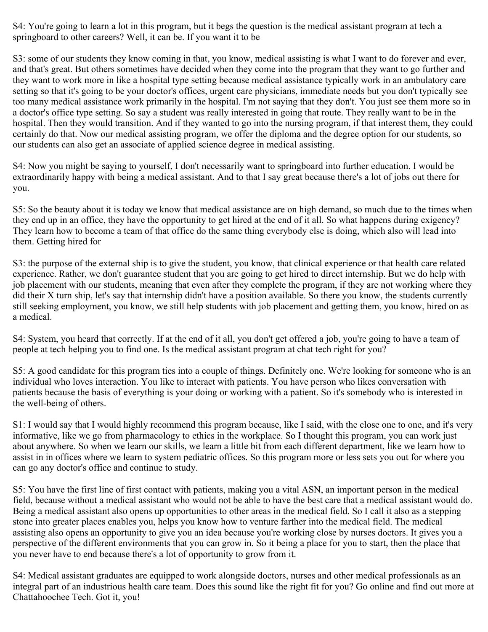S4: You're going to learn a lot in this program, but it begs the question is the medical assistant program at tech a springboard to other careers? Well, it can be. If you want it to be

S3: some of our students they know coming in that, you know, medical assisting is what I want to do forever and ever, and that's great. But others sometimes have decided when they come into the program that they want to go further and they want to work more in like a hospital type setting because medical assistance typically work in an ambulatory care setting so that it's going to be your doctor's offices, urgent care physicians, immediate needs but you don't typically see too many medical assistance work primarily in the hospital. I'm not saying that they don't. You just see them more so in a doctor's office type setting. So say a student was really interested in going that route. They really want to be in the hospital. Then they would transition. And if they wanted to go into the nursing program, if that interest them, they could certainly do that. Now our medical assisting program, we offer the diploma and the degree option for our students, so our students can also get an associate of applied science degree in medical assisting.

S4: Now you might be saying to yourself, I don't necessarily want to springboard into further education. I would be extraordinarily happy with being a medical assistant. And to that I say great because there's a lot of jobs out there for you.

S5: So the beauty about it is today we know that medical assistance are on high demand, so much due to the times when they end up in an office, they have the opportunity to get hired at the end of it all. So what happens during exigency? They learn how to become a team of that office do the same thing everybody else is doing, which also will lead into them. Getting hired for

S3: the purpose of the external ship is to give the student, you know, that clinical experience or that health care related experience. Rather, we don't guarantee student that you are going to get hired to direct internship. But we do help with job placement with our students, meaning that even after they complete the program, if they are not working where they did their X turn ship, let's say that internship didn't have a position available. So there you know, the students currently still seeking employment, you know, we still help students with job placement and getting them, you know, hired on as a medical.

S4: System, you heard that correctly. If at the end of it all, you don't get offered a job, you're going to have a team of people at tech helping you to find one. Is the medical assistant program at chat tech right for you?

S5: A good candidate for this program ties into a couple of things. Definitely one. We're looking for someone who is an individual who loves interaction. You like to interact with patients. You have person who likes conversation with patients because the basis of everything is your doing or working with a patient. So it's somebody who is interested in the well-being of others.

S1: I would say that I would highly recommend this program because, like I said, with the close one to one, and it's very informative, like we go from pharmacology to ethics in the workplace. So I thought this program, you can work just about anywhere. So when we learn our skills, we learn a little bit from each different department, like we learn how to assist in in offices where we learn to system pediatric offices. So this program more or less sets you out for where you can go any doctor's office and continue to study.

S5: You have the first line of first contact with patients, making you a vital ASN, an important person in the medical field, because without a medical assistant who would not be able to have the best care that a medical assistant would do. Being a medical assistant also opens up opportunities to other areas in the medical field. So I call it also as a stepping stone into greater places enables you, helps you know how to venture farther into the medical field. The medical assisting also opens an opportunity to give you an idea because you're working close by nurses doctors. It gives you a perspective of the different environments that you can grow in. So it being a place for you to start, then the place that you never have to end because there's a lot of opportunity to grow from it.

S4: Medical assistant graduates are equipped to work alongside doctors, nurses and other medical professionals as an integral part of an industrious health care team. Does this sound like the right fit for you? Go online and find out more at Chattahoochee Tech. Got it, you!